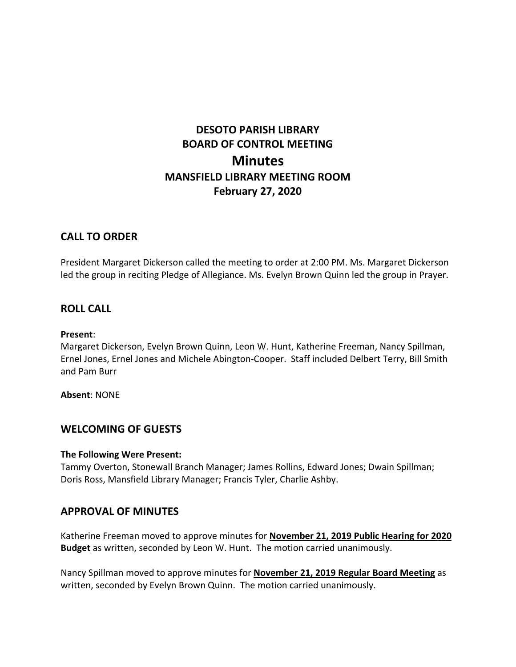# **DESOTO PARISH LIBRARY BOARD OF CONTROL MEETING Minutes MANSFIELD LIBRARY MEETING ROOM February 27, 2020**

# **CALL TO ORDER**

President Margaret Dickerson called the meeting to order at 2:00 PM. Ms. Margaret Dickerson led the group in reciting Pledge of Allegiance. Ms. Evelyn Brown Quinn led the group in Prayer.

# **ROLL CALL**

## **Present**:

Margaret Dickerson, Evelyn Brown Quinn, Leon W. Hunt, Katherine Freeman, Nancy Spillman, Ernel Jones, Ernel Jones and Michele Abington-Cooper. Staff included Delbert Terry, Bill Smith and Pam Burr

**Absent**: NONE

# **WELCOMING OF GUESTS**

## **The Following Were Present:**

Tammy Overton, Stonewall Branch Manager; James Rollins, Edward Jones; Dwain Spillman; Doris Ross, Mansfield Library Manager; Francis Tyler, Charlie Ashby.

# **APPROVAL OF MINUTES**

Katherine Freeman moved to approve minutes for **November 21, 2019 Public Hearing for 2020 Budget** as written, seconded by Leon W. Hunt. The motion carried unanimously.

Nancy Spillman moved to approve minutes for **November 21, 2019 Regular Board Meeting** as written, seconded by Evelyn Brown Quinn. The motion carried unanimously.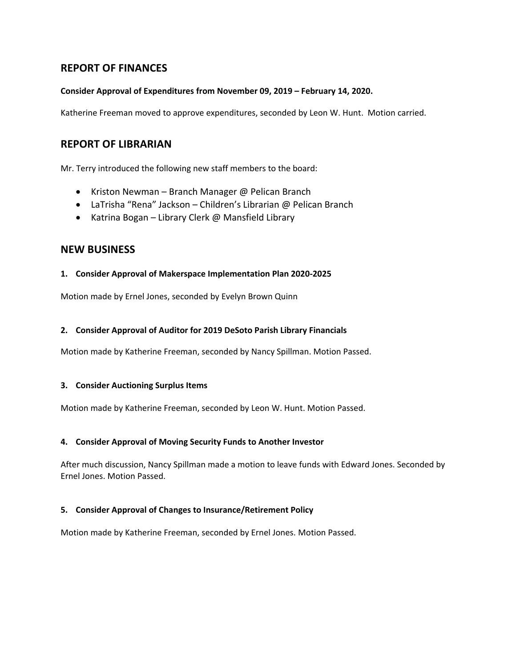# **REPORT OF FINANCES**

## **Consider Approval of Expenditures from November 09, 2019 – February 14, 2020.**

Katherine Freeman moved to approve expenditures, seconded by Leon W. Hunt. Motion carried.

## **REPORT OF LIBRARIAN**

Mr. Terry introduced the following new staff members to the board:

- Kriston Newman Branch Manager @ Pelican Branch
- LaTrisha "Rena" Jackson Children's Librarian @ Pelican Branch
- Katrina Bogan Library Clerk @ Mansfield Library

## **NEW BUSINESS**

#### **1. Consider Approval of Makerspace Implementation Plan 2020-2025**

Motion made by Ernel Jones, seconded by Evelyn Brown Quinn

#### **2. Consider Approval of Auditor for 2019 DeSoto Parish Library Financials**

Motion made by Katherine Freeman, seconded by Nancy Spillman. Motion Passed.

#### **3. Consider Auctioning Surplus Items**

Motion made by Katherine Freeman, seconded by Leon W. Hunt. Motion Passed.

#### **4. Consider Approval of Moving Security Funds to Another Investor**

After much discussion, Nancy Spillman made a motion to leave funds with Edward Jones. Seconded by Ernel Jones. Motion Passed.

## **5. Consider Approval of Changes to Insurance/Retirement Policy**

Motion made by Katherine Freeman, seconded by Ernel Jones. Motion Passed.